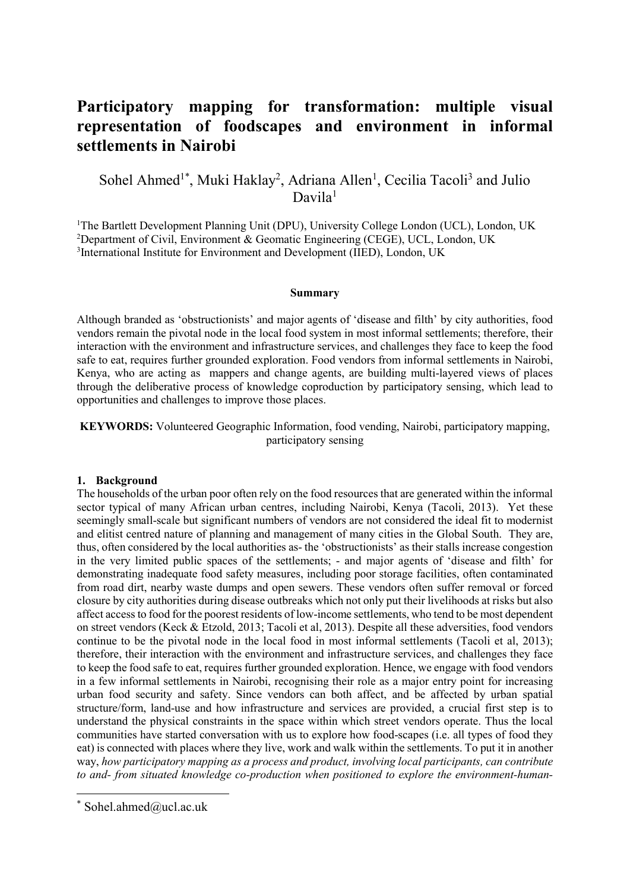# **Participatory mapping for transformation: multiple visual representation of foodscapes and environment in informal settlements in Nairobi**

## Sohel Ahmed<sup>1\*</sup>, Muki Haklay<sup>2</sup>, Adriana Allen<sup>1</sup>, Cecilia Tacoli<sup>3</sup> and Julio Davila1

<sup>1</sup>The Bartlett Development Planning Unit (DPU), University College London (UCL), London, UK <sup>2</sup>Department of Civil, Environment & Geomatic Engineering (CEGE), UCL, London, UK <sup>3</sup>International Institute for Environment and Development (IIED), London, UK

#### **Summary**

Although branded as 'obstructionists' and major agents of 'disease and filth' by city authorities, food vendors remain the pivotal node in the local food system in most informal settlements; therefore, their interaction with the environment and infrastructure services, and challenges they face to keep the food safe to eat, requires further grounded exploration. Food vendors from informal settlements in Nairobi, Kenya, who are acting as mappers and change agents, are building multi-layered views of places through the deliberative process of knowledge coproduction by participatory sensing, which lead to opportunities and challenges to improve those places.

**KEYWORDS:** Volunteered Geographic Information, food vending, Nairobi, participatory mapping, participatory sensing

#### **1. Background**

The households of the urban poor often rely on the food resources that are generated within the informal sector typical of many African urban centres, including Nairobi, Kenya (Tacoli, 2013). Yet these seemingly small-scale but significant numbers of vendors are not considered the ideal fit to modernist and elitist centred nature of planning and management of many cities in the Global South. They are, thus, often considered by the local authorities as- the 'obstructionists' as their stalls increase congestion in the very limited public spaces of the settlements; - and major agents of 'disease and filth' for demonstrating inadequate food safety measures, including poor storage facilities, often contaminated from road dirt, nearby waste dumps and open sewers. These vendors often suffer removal or forced closure by city authorities during disease outbreaks which not only put their livelihoods at risks but also affect access to food for the poorest residents of low-income settlements, who tend to be most dependent on street vendors (Keck & Etzold, 2013; Tacoli et al, 2013). Despite all these adversities, food vendors continue to be the pivotal node in the local food in most informal settlements (Tacoli et al, 2013); therefore, their interaction with the environment and infrastructure services, and challenges they face to keep the food safe to eat, requires further grounded exploration. Hence, we engage with food vendors in a few informal settlements in Nairobi, recognising their role as a major entry point for increasing urban food security and safety. Since vendors can both affect, and be affected by urban spatial structure/form, land-use and how infrastructure and services are provided, a crucial first step is to understand the physical constraints in the space within which street vendors operate. Thus the local communities have started conversation with us to explore how food-scapes (i.e. all types of food they eat) is connected with places where they live, work and walk within the settlements. To put it in another way, *how participatory mapping as a process and product, involving local participants, can contribute to and- from situated knowledge co-production when positioned to explore the environment-human-*

 $*$  Sohel.ahmed@ucl.ac.uk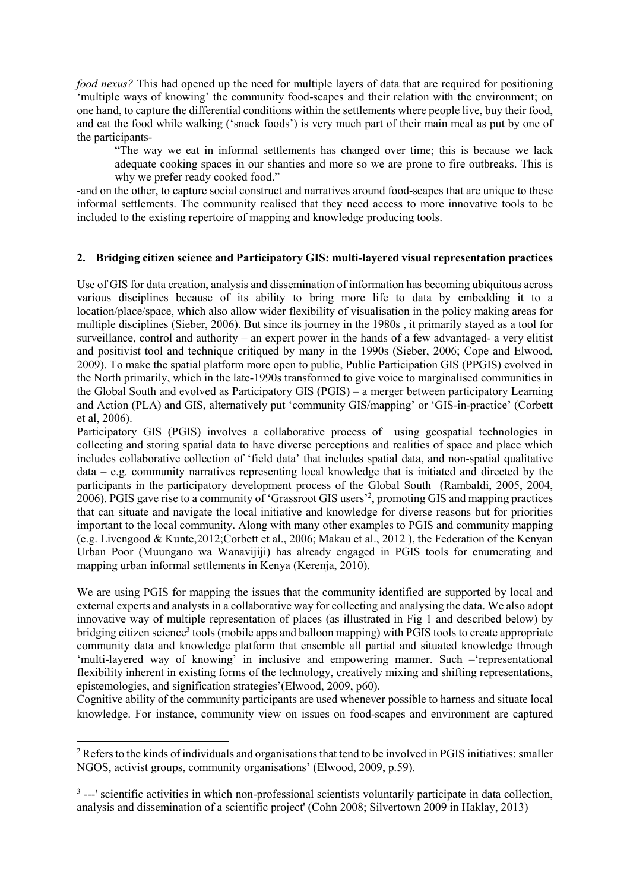*food nexus?* This had opened up the need for multiple layers of data that are required for positioning 'multiple ways of knowing' the community food-scapes and their relation with the environment; on one hand, to capture the differential conditions within the settlements where people live, buy their food, and eat the food while walking ('snack foods') is very much part of their main meal as put by one of the participants-

"The way we eat in informal settlements has changed over time; this is because we lack adequate cooking spaces in our shanties and more so we are prone to fire outbreaks. This is why we prefer ready cooked food."

-and on the other, to capture social construct and narratives around food-scapes that are unique to these informal settlements. The community realised that they need access to more innovative tools to be included to the existing repertoire of mapping and knowledge producing tools.

### **2. Bridging citizen science and Participatory GIS: multi-layered visual representation practices**

Use of GIS for data creation, analysis and dissemination of information has becoming ubiquitous across various disciplines because of its ability to bring more life to data by embedding it to a location/place/space, which also allow wider flexibility of visualisation in the policy making areas for multiple disciplines (Sieber, 2006). But since its journey in the 1980s , it primarily stayed as a tool for surveillance, control and authority – an expert power in the hands of a few advantaged- a very elitist and positivist tool and technique critiqued by many in the 1990s (Sieber, 2006; Cope and Elwood, 2009). To make the spatial platform more open to public, Public Participation GIS (PPGIS) evolved in the North primarily, which in the late-1990s transformed to give voice to marginalised communities in the Global South and evolved as Participatory GIS (PGIS) – a merger between participatory Learning and Action (PLA) and GIS, alternatively put 'community GIS/mapping' or 'GIS-in-practice' (Corbett et al, 2006).

Participatory GIS (PGIS) involves a collaborative process of using geospatial technologies in collecting and storing spatial data to have diverse perceptions and realities of space and place which includes collaborative collection of 'field data' that includes spatial data, and non-spatial qualitative data – e.g. community narratives representing local knowledge that is initiated and directed by the participants in the participatory development process of the Global South (Rambaldi, 2005, 2004, 2006). PGIS gave rise to a community of 'Grassroot GIS users'2 , promoting GIS and mapping practices that can situate and navigate the local initiative and knowledge for diverse reasons but for priorities important to the local community. Along with many other examples to PGIS and community mapping (e.g. Livengood & Kunte,2012;Corbett et al., 2006; Makau et al., 2012 ), the Federation of the Kenyan Urban Poor (Muungano wa Wanavijiji) has already engaged in PGIS tools for enumerating and mapping urban informal settlements in Kenya (Kerenja, 2010).

We are using PGIS for mapping the issues that the community identified are supported by local and external experts and analysts in a collaborative way for collecting and analysing the data. We also adopt innovative way of multiple representation of places (as illustrated in Fig 1 and described below) by bridging citizen science<sup>3</sup> tools (mobile apps and balloon mapping) with PGIS tools to create appropriate community data and knowledge platform that ensemble all partial and situated knowledge through 'multi-layered way of knowing' in inclusive and empowering manner. Such –'representational flexibility inherent in existing forms of the technology, creatively mixing and shifting representations, epistemologies, and signification strategies'(Elwood, 2009, p60).

Cognitive ability of the community participants are used whenever possible to harness and situate local knowledge. For instance, community view on issues on food-scapes and environment are captured

 <sup>2</sup> Refers to the kinds of individuals and organisations that tend to be involved in PGIS initiatives: smaller NGOS, activist groups, community organisations' (Elwood, 2009, p.59).

<sup>&</sup>lt;sup>3</sup> ---' scientific activities in which non-professional scientists voluntarily participate in data collection, analysis and dissemination of a scientific project' (Cohn 2008; Silvertown 2009 in Haklay, 2013)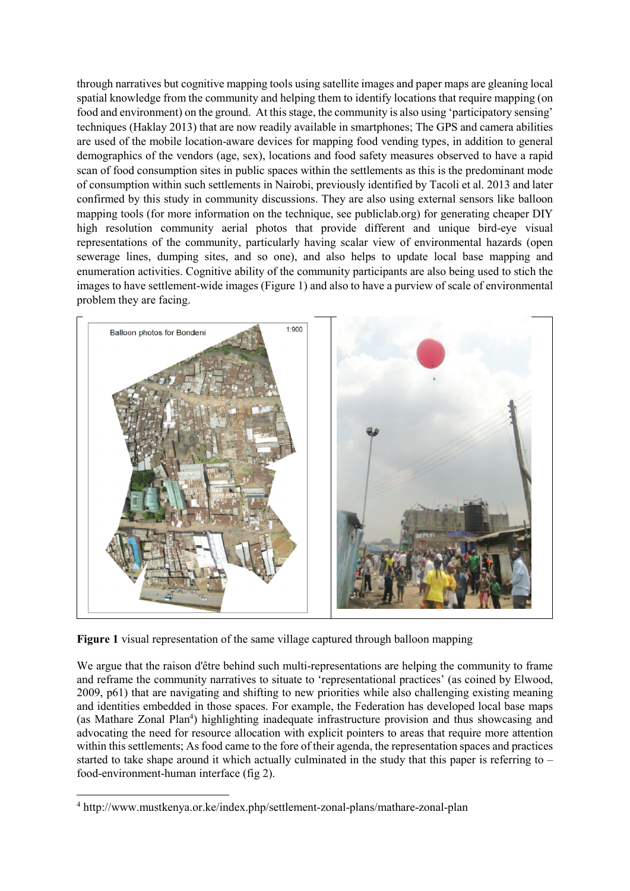through narratives but cognitive mapping tools using satellite images and paper maps are gleaning local spatial knowledge from the community and helping them to identify locations that require mapping (on food and environment) on the ground. At this stage, the community is also using 'participatory sensing' techniques (Haklay 2013) that are now readily available in smartphones; The GPS and camera abilities are used of the mobile location-aware devices for mapping food vending types, in addition to general demographics of the vendors (age, sex), locations and food safety measures observed to have a rapid scan of food consumption sites in public spaces within the settlements as this is the predominant mode of consumption within such settlements in Nairobi, previously identified by Tacoli et al. 2013 and later confirmed by this study in community discussions. They are also using external sensors like balloon mapping tools (for more information on the technique, see publiclab.org) for generating cheaper DIY high resolution community aerial photos that provide different and unique bird-eye visual representations of the community, particularly having scalar view of environmental hazards (open sewerage lines, dumping sites, and so one), and also helps to update local base mapping and enumeration activities. Cognitive ability of the community participants are also being used to stich the images to have settlement-wide images (Figure 1) and also to have a purview of scale of environmental problem they are facing.



**Figure 1** visual representation of the same village captured through balloon mapping

We argue that the raison d'être behind such multi-representations are helping the community to frame and reframe the community narratives to situate to 'representational practices' (as coined by Elwood, 2009, p61) that are navigating and shifting to new priorities while also challenging existing meaning and identities embedded in those spaces. For example, the Federation has developed local base maps (as Mathare Zonal Plan<sup>4</sup>) highlighting inadequate infrastructure provision and thus showcasing and advocating the need for resource allocation with explicit pointers to areas that require more attention within this settlements; As food came to the fore of their agenda, the representation spaces and practices started to take shape around it which actually culminated in the study that this paper is referring to – food-environment-human interface (fig 2).

 <sup>4</sup> http://www.mustkenya.or.ke/index.php/settlement-zonal-plans/mathare-zonal-plan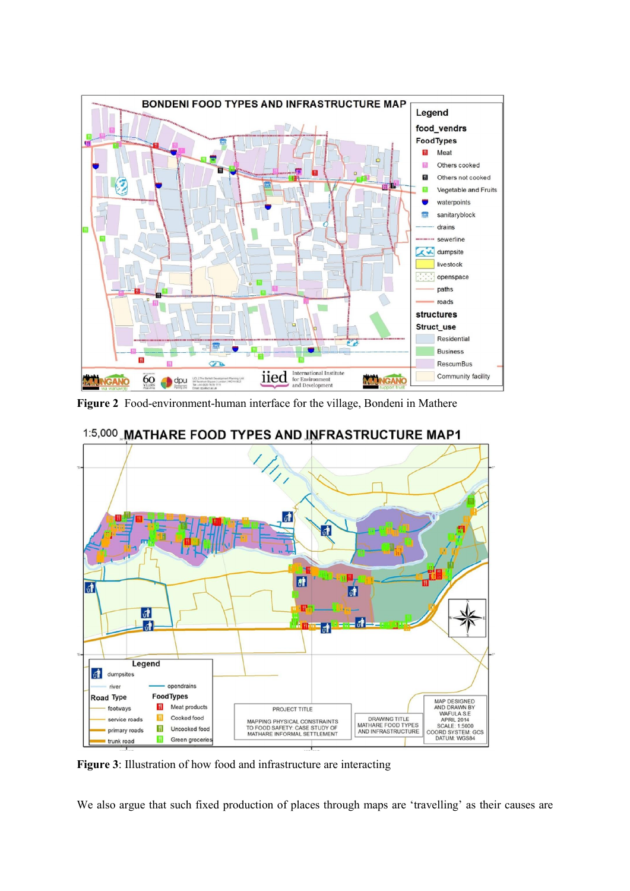

**Figure 2** Food-environment-human interface for the village, Bondeni in Mathere



1:5,000 MATHARE FOOD TYPES AND INFRASTRUCTURE MAP1

**Figure 3**: Illustration of how food and infrastructure are interacting

We also argue that such fixed production of places through maps are 'travelling' as their causes are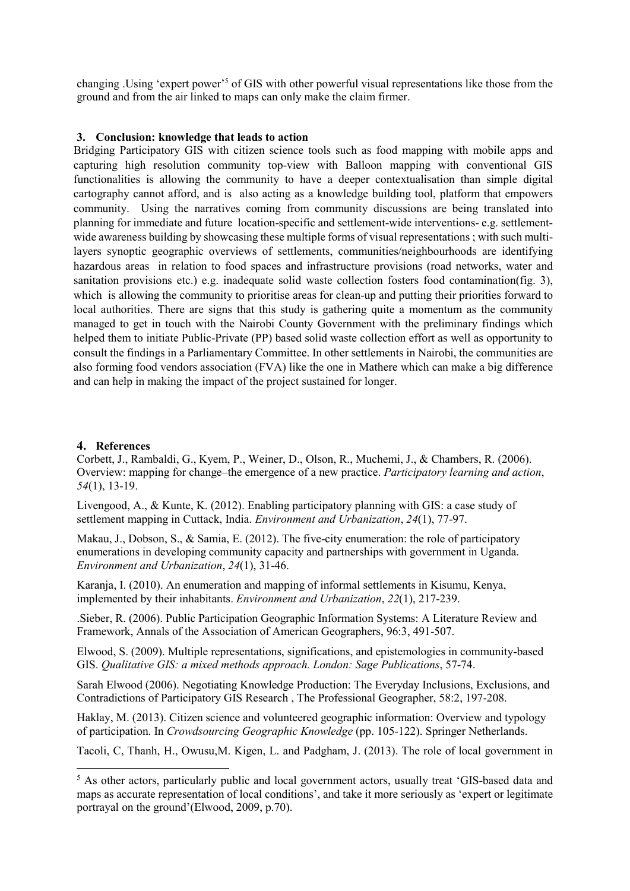changing .Using 'expert power'5 of GIS with other powerful visual representations like those from the ground and from the air linked to maps can only make the claim firmer.

#### **3. Conclusion: knowledge that leads to action**

Bridging Participatory GIS with citizen science tools such as food mapping with mobile apps and capturing high resolution community top-view with Balloon mapping with conventional GIS functionalities is allowing the community to have a deeper contextualisation than simple digital cartography cannot afford, and is also acting as a knowledge building tool, platform that empowers community. Using the narratives coming from community discussions are being translated into planning for immediate and future location-specific and settlement-wide interventions- e.g. settlementwide awareness building by showcasing these multiple forms of visual representations ; with such multilayers synoptic geographic overviews of settlements, communities/neighbourhoods are identifying hazardous areas in relation to food spaces and infrastructure provisions (road networks, water and sanitation provisions etc.) e.g. inadequate solid waste collection fosters food contamination(fig. 3), which is allowing the community to prioritise areas for clean-up and putting their priorities forward to local authorities. There are signs that this study is gathering quite a momentum as the community managed to get in touch with the Nairobi County Government with the preliminary findings which helped them to initiate Public-Private (PP) based solid waste collection effort as well as opportunity to consult the findings in a Parliamentary Committee. In other settlements in Nairobi, the communities are also forming food vendors association (FVA) like the one in Mathere which can make a big difference and can help in making the impact of the project sustained for longer.

#### **4. References**

Corbett, J., Rambaldi, G., Kyem, P., Weiner, D., Olson, R., Muchemi, J., & Chambers, R. (2006). Overview: mapping for change–the emergence of a new practice. *Participatory learning and action*, *54*(1), 13-19.

Livengood, A., & Kunte, K. (2012). Enabling participatory planning with GIS: a case study of settlement mapping in Cuttack, India. *Environment and Urbanization*, *24*(1), 77-97.

Makau, J., Dobson, S., & Samia, E. (2012). The five-city enumeration: the role of participatory enumerations in developing community capacity and partnerships with government in Uganda. *Environment and Urbanization*, *24*(1), 31-46.

Karanja, I. (2010). An enumeration and mapping of informal settlements in Kisumu, Kenya, implemented by their inhabitants. *Environment and Urbanization*, *22*(1), 217-239.

.Sieber, R. (2006). Public Participation Geographic Information Systems: A Literature Review and Framework, Annals of the Association of American Geographers, 96:3, 491-507.

Elwood, S. (2009). Multiple representations, significations, and epistemologies in community-based GIS. *Qualitative GIS: a mixed methods approach. London: Sage Publications*, 57-74.

Sarah Elwood (2006). Negotiating Knowledge Production: The Everyday Inclusions, Exclusions, and Contradictions of Participatory GIS Research , The Professional Geographer, 58:2, 197-208.

Haklay, M. (2013). Citizen science and volunteered geographic information: Overview and typology of participation. In *Crowdsourcing Geographic Knowledge* (pp. 105-122). Springer Netherlands.

Tacoli, C, Thanh, H., Owusu,M. Kigen, L. and Padgham, J. (2013). The role of local government in

<sup>&</sup>lt;sup>5</sup> As other actors, particularly public and local government actors, usually treat 'GIS-based data and maps as accurate representation of local conditions', and take it more seriously as 'expert or legitimate portrayal on the ground'(Elwood, 2009, p.70).